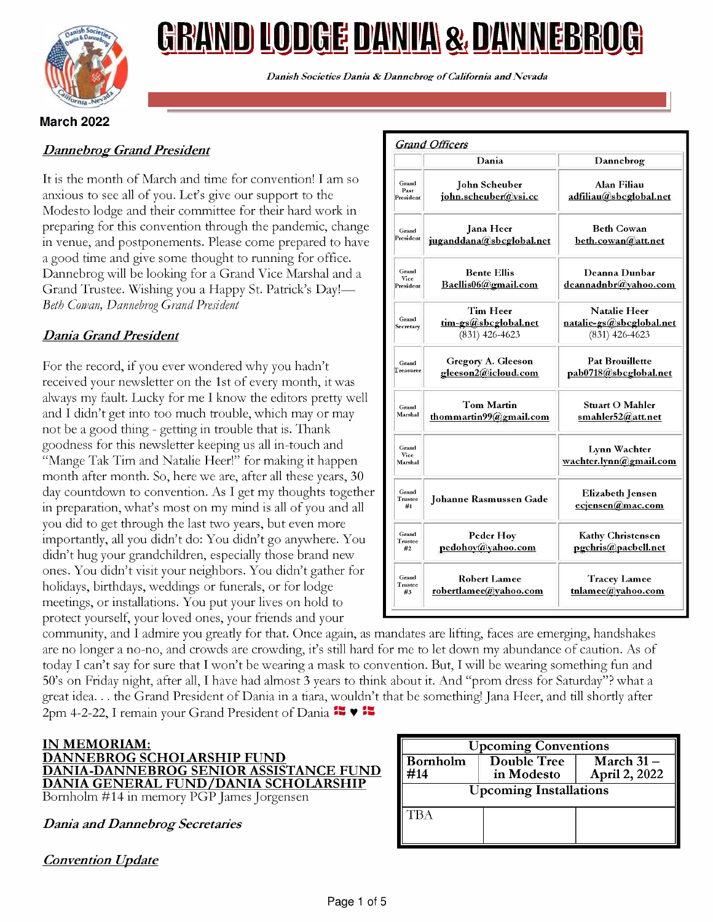

# <u>GRAND LODGE DANIA & DANNEBROG</u>

Danish Societies Dania & Dannebrog of California and Nevada

### March 2022

### Dannebrog Grand President

It is the month of March and time for convention! I am so anxious to see all of you. Let's give our support to the Modesto lodge and their committee for their hard work in preparing for this convention through the pandemic, change in venue, and postponements. Please come prepared to have a good time and give some thought to running for office. Dannebrog will be looking for a Grand Vice Marshal and a Grand Trustee. Wishing you a Happy St. Patrick's Day!-Beth Cowan, Dannebrog Grand President

### Dania Grand President

For the record, if you ever wondered why you hadn't received your newsletter on the 1st of every month, it was always my fault. Lucky for me I know the editors pretty well and I didn't get into too much trouble, which may or may not be a good thing - getting in trouble that is. Thank goodness for this newsletter keeping us all in -touch and "Mange Tak Tim and Natalie Heer!" for making it happen month after month. So, here we are, after all these years, 30 day countdown to convention. As I get my thoughts together in preparation, what's most on my mind is all of you and all you did to get through the last two years, but even more importantly, all you didn't do: You didn't go anywhere. You didn't hug your grandchildren, especially those brand new ones. You didn't visit your neighbors. You didn't gather for holidays, birthdays, weddings or funerals, or for lodge meetings, or installations. You put your lives on hold to protect yourself, your loved ones, your friends and your

|                            | Dania                                                | Dannebrog                                                           |
|----------------------------|------------------------------------------------------|---------------------------------------------------------------------|
| Grand<br>Past<br>President | <b>John Scheuber</b><br>john.scheuber@vsi.cc         | Alan Filiau<br>adfiliau@sbcglobal.net                               |
| Grand<br>President         | Jana Heer<br>juganddana@sbcglobal.net                | <b>Beth Cowan</b><br>beth.cowan@att.net                             |
| Grand<br>Vice<br>President | <b>Bente Ellis</b><br>Baellis06@gmail.com            | Deanna Dunbar<br>deannadnbr@yahoo.com                               |
| Grand<br>Secretary         | Tim Heer<br>tim-gs@sbcglobal.net<br>$(831)$ 426-4623 | <b>Natalie Heer</b><br>natalie-gs@sbcglobal.net<br>$(831)$ 426-4623 |
| Grand<br><b>Treasurer</b>  | Gregory A. Gleeson<br>gleeson2@icloud.com            | <b>Pat Brouillette</b><br>pab0718@sbcglobal.net                     |
| Grand<br>Marshal           | <b>Tom Martin</b><br>thommartin99@gmail.com          | <b>Stuart O Mahler</b><br>smahler52@att.net                         |
| Grand<br>Vice<br>Marshal   |                                                      | Lynn Wachter<br>wachter.lynn@gmail.com                              |
| Grand<br>Trustee<br>#1     | <b>Johanne Rasmussen Gade</b>                        | <b>Elizabeth Jensen</b><br>ecjensen@mac.com                         |
| Grand<br>Trustee<br>#2     | Peder Hoy<br>pedohov@yahoo.com                       | <b>Kathy Christensen</b><br>pgchris@pacbell.net                     |
| Grand<br>Trustee<br>#3     | <b>Robert Lamee</b><br>robertlamee@yahoo.com         | <b>Tracey Lamee</b><br>tnlamee@yahoo.com                            |

community, and I admire you greatly for that. Once again, as mandates are lifting, faces are emerging, handshakes are no longer a no -no, and crowds are crowding, it's still hard for me to let down my abundance of caution. As of today I can't say for sure that I won't be wearing a mask to convention. But, I will be wearing something fun and 50's on Friday night, after all, I have had almost 3 years to think about it. And "prom dress for Saturday"? what a great idea. . . the Grand President of Dania in a tiara, wouldn't that be something! Jana Heer, and till shortly after 2pm 4-2-22, I remain your Grand President of Dania  $\mathbb{R} \blacktriangleright \mathbb{R}$ 

### IN MEMORIAM: DANNEBROG SCHOLARSHIP FUND DANIA-DANNEBROG SENIOR ASSISTANCE FUND DANIA GENERAL FUND/DANIA SCHOLARSHIP Bornholm #14 in memory PGP James Jorgensen

Dania and Dannebrog Secretaries

**Convention Update** 

| <b>Upcoming Conventions</b>   |                                  |                                               |  |  |
|-------------------------------|----------------------------------|-----------------------------------------------|--|--|
| <b>Bornholm</b><br>#14        | <b>Double Tree</b><br>in Modesto | $\overline{\text{March 31}}$<br>April 2, 2022 |  |  |
| <b>Upcoming Installations</b> |                                  |                                               |  |  |
| <b>TBA</b>                    |                                  |                                               |  |  |
|                               |                                  |                                               |  |  |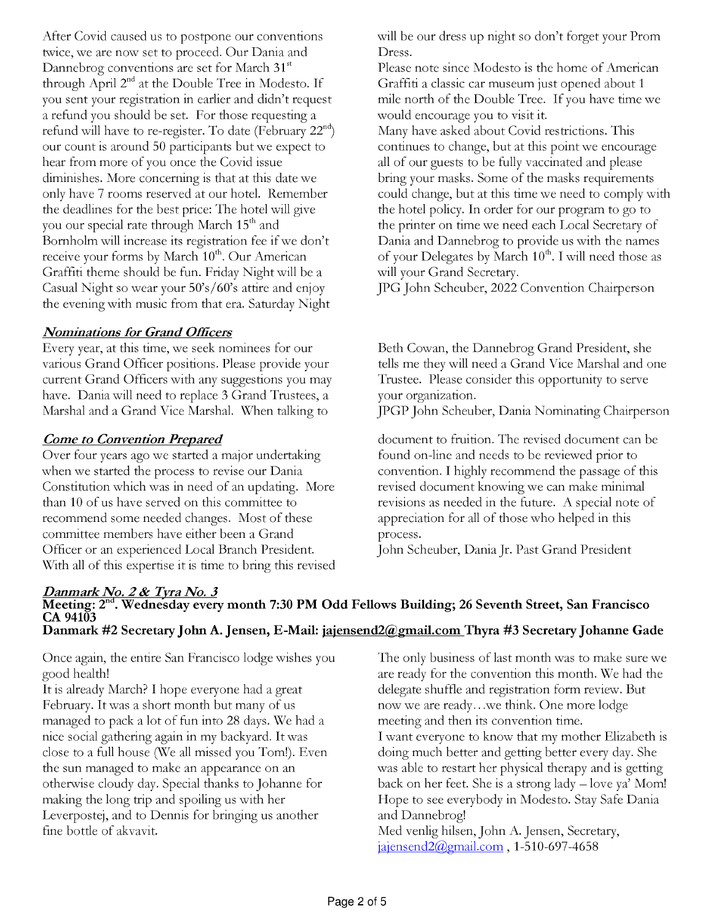After Covid caused us to postpone our conventions twice, we are now set to proceed. Our Dania and Dannebrog conventions are set for March 31<sup>st</sup> through April  $2<sup>nd</sup>$  at the Double Tree in Modesto. If you sent your registration in earlier and didn't request a refund you should be set. For those requesting a refund will have to re-register. To date (February  $22<sup>nd</sup>$ ) our count is around 50 participants but we expect to hear from more of you once the Covid issue diminishes. More concerning is that at this date we only have 7 rooms reserved at our hotel. Remember the deadlines for the best price: The hotel will give you our special rate through March 15<sup>th</sup> and Bornholm will increase its registration fee if we don't receive your forms by March 10<sup>th</sup>. Our American Graffiti theme should be fun. Friday Night will be a Casual Night so wear your 50's/60's attire and enjoy the evening with music from that era. Saturday Night

### Nominations for Grand Officers

Every year, at this time, we seek nominees for our various Grand Officer positions. Please provide your current Grand Officers with any suggestions you may have. Dania will need to replace 3 Grand Trustees, a Marshal and a Grand Vice Marshal. When talking to

### Come to Convention Prepared

Over four years ago we started a major undertaking when we started the process to revise our Dania Constitution which was in need of an updating. More than 10 of us have served on this committee to recommend some needed changes. Most of these committee members have either been a Grand Officer or an experienced Local Branch President. With all of this expertise it is time to bring this revised will be our dress up night so don't forget your Prom Dress.

Please note since Modesto is the home of American Graffiti a classic car museum just opened about 1 mile north of the Double Tree. If you have time we would encourage you to visit it.

Many have asked about Covid restrictions. This continues to change, but at this point we encourage all of our guests to be fully vaccinated and please bring your masks. Some of the masks requirements could change, but at this time we need to comply with the hotel policy. In order for our program to go to the printer on time we need each Local Secretary of Dania and Dannebrog to provide us with the names of your Delegates by March  $10^{th}$ . I will need those as will your Grand Secretary.

JPG John Scheuber, 2022 Convention Chairperson

Beth Cowan, the Dannebrog Grand President, she tells me they will need a Grand Vice Marshal and one Trustee. Please consider this opportunity to serve your organization.

JPGP John Scheuber, Dania Nominating Chairperson

document to fruition. The revised document can be found on-line and needs to be reviewed prior to convention. I highly recommend the passage of this revised document knowing we can make minimal revisions as needed in the future. A special note of appreciation for all of those who helped in this process.

John Scheuber, Dania Jr. Past Grand President

### Danmark No. 2 & Tyra No. 3<br>Meeting: 2<sup>nd</sup>. Wednesday every month 7:30 PM Odd Fellows Building; 26 Seventh Street, San Francisco CA 94103 Danmark #2 Secretary John A. Jensen, E-Mail: jajensend2@gmail.com Thyra #3 Secretary Johanne Gade

Once again, the entire San Francisco lodge wishes you good health!

It is already March? I hope everyone had a great February. It was a short month but many of us managed to pack a lot of fun into 28 days. We had a nice social gathering again in my backyard. It was close to a full house (We all missed you Tom!). Even the sun managed to make an appearance on an otherwise cloudy day. Special thanks to Johanne for making the long trip and spoiling us with her Leverpostej, and to Dennis for bringing us another fine bottle of akvavit.

The only business of last month was to make sure we are ready for the convention this month. We had the delegate shuffle and registration form review. But now we are ready...we think. One more lodge meeting and then its convention time.

I want everyone to know that my mother Elizabeth is doing much better and getting better every day. She was able to restart her physical therapy and is getting back on her feet. She is a strong lady  $-$  love ya' Mom! Hope to see everybody in Modesto. Stay Safe Dania and Dannebrog!

Med venlig hilsen, John A. Jensen, Secretary, jajensend2@gmail.com , 1-510-697-4658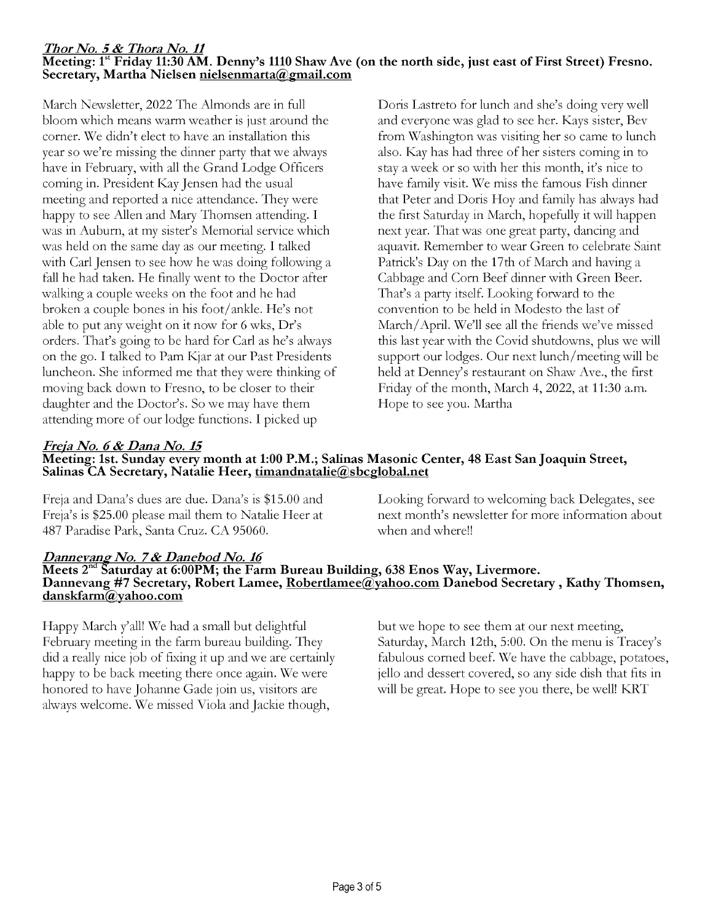### Thor No. 5 & Thora No. 11 Meeting: 1<sup>st</sup> Friday 11:30 AM. Denny's 1110 Shaw Ave (on the north side, just east of First Street) Fresno.<br>Secretary, Martha Nielsen <u>nielsenmarta@gmail.com</u>

March Newsletter, 2022 The Almonds are in full bloom which means warm weather is just around the corner. We didn't elect to have an installation this year so we're missing the dinner party that we always have in February, with all the Grand Lodge Officers coming in. President Kay Jensen had the usual meeting and reported a nice attendance. They were happy to see Allen and Mary Thomsen attending. I was in Auburn, at my sister's Memorial service which was held on the same day as our meeting. I talked with Carl Jensen to see how he was doing following a fall he had taken. He finally went to the Doctor after walking a couple weeks on the foot and he had broken a couple bones in his foot/ankle. He's not able to put any weight on it now for 6 wks, Dr's orders. That's going to be hard for Carl as he's always on the go. I talked to Pam Kjar at our Past Presidents luncheon. She informed me that they were thinking of moving back down to Fresno, to be closer to their daughter and the Doctor's. So we may have them attending more of our lodge functions. I picked up

Doris Lastreto for lunch and she's doing very well and everyone was glad to see her. Kays sister, Bev from Washington was visiting her so came to lunch also. Kay has had three of her sisters coming in to stay a week or so with her this month, it's nice to have family visit. We miss the famous Fish dinner that Peter and Doris Hoy and family has always had the first Saturday in March, hopefully it will happen next year. That was one great party, dancing and aquavit. Remember to wear Green to celebrate Saint Patrick's Day on the 17th of March and having a Cabbage and Corn Beef dinner with Green Beer. That's a party itself. Looking forward to the convention to be held in Modesto the last of March/April. We'll see all the friends we've missed this last year with the Covid shutdowns, plus we will support our lodges. Our next lunch/meeting will be held at Denney's restaurant on Shaw Ave., the first Friday of the month, March 4, 2022, at 11:30 a.m. Hope to see you. Martha

## Freja No. 6 & Dana No. 15

## Meeting: 1st. Sunday every month at 1:00 P.M.; Salinas Masonic Center, 48 East San Joaquin Street, Salinas CA Secretary, Natalie Heer, timandnatalie@sbcglobal.net

Freja and Dana's dues are due. Dana's is \$15.00 and Freja's is \$25.00 please mail them to Natalie Heer at 487 Paradise Park, Santa Cruz. CA 95060.

Looking forward to welcoming back Delegates, see next month's newsletter for more information about when and where!!

# Dannevang No. 7 & Danebod No. 16<br>Meets 2<sup>nd</sup> Saturday at 6:00PM; the Farm Bureau Building, 638 Enos Way, Livermore.<br>Dannevang #7 Secretary, Robert Lamee, <u>Robertlamee@yahoo.com</u> Danebod Secretary, Kathy Thomsen,<br>danskfarm@

Happy March y'all! We had a small but delightful February meeting in the farm bureau building. They did a really nice job of fixing it up and we are certainly happy to be back meeting there once again. We were honored to have Johanne Gade join us, visitors are always welcome. We missed Viola and Jackie though,

but we hope to see them at our next meeting, Saturday, March 12th, 5:00. On the menu is Tracey's fabulous corned beef. We have the cabbage, potatoes, jello and dessert covered, so any side dish that fits in will be great. Hope to see you there, be well! KRT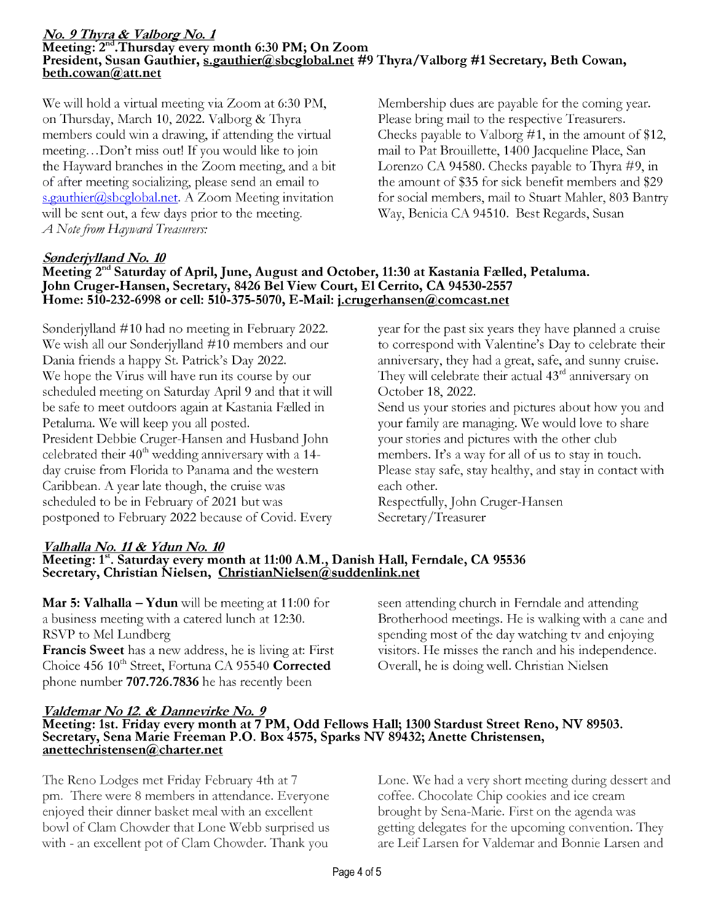## <mark>*No. 9 Thyra & Valborg No. 1* Meeting: 2<sup>nd</sup>.Thursday every month 6:30 PM; On Zoom</mark> President, Susan Gauthier, s.gauthier@sbcglobal.net #9 Thyra/Valborg #1 Secretary, Beth Cowan, beth.cowan@att.net

We will hold a virtual meeting via Zoom at 6:30 PM, on Thursday, March 10, 2022. Valborg & Thyra members could win a drawing, if attending the virtual meeting...Don't miss out! If you would like to join the Hayward branches in the Zoom meeting, and a bit of after meeting socializing, please send an email to  $s.gauthier@sbcglobal.net.$  A Zoom Meeting invitation will be sent out, a few days prior to the meeting. A Note from Hayward Treasurers:

Membership dues are payable for the coming year. Please bring mail to the respective Treasurers. Checks payable to Valborg #1, in the amount of \$12, mail to Pat Brouillette, 1400 Jacqueline Place, San Lorenzo CA 94580. Checks payable to Thyra #9, in the amount of \$35 for sick benefit members and \$29 for social members, mail to Stuart Mahler, 803 Bantry Way, Benicia CA 94510. Best Regards, Susan

### Sonderjylland No. 10

### Meeting 2<sup>nd</sup> Saturday of April, June, August and October, 11:30 at Kastania Fælled, Petaluma. John Cruger-Hansen, Secretary, 8426 Bel View Court, El Cerrito, CA 94530-2557 Home: 510-232-6998 or cell: 510-375-5070, E -Mail: j.crugerhansen@comcast.net

Sonderjylland #10 had no meeting in February 2022. We wish all our Sonderjylland #10 members and our Dania friends a happy St. Patrick's Day 2022. We hope the Virus will have run its course by our scheduled meeting on Saturday April 9 and that it will be safe to meet outdoors again at Kastania Felled in Petaluma. We will keep you all posted. President Debbie Cruger-Hansen and Husband John celebrated their  $40<sup>th</sup>$  wedding anniversary with a 14day cruise from Florida to Panama and the western Caribbean. A year late though, the cruise was scheduled to be in February of 2021 but was postponed to February 2022 because of Covid. Every year for the past six years they have planned a cruise to correspond with Valentine's Day to celebrate their anniversary, they had a great, safe, and sunny cruise. They will celebrate their actual 43<sup>rd</sup> anniversary on October 18, 2022.

Send us your stories and pictures about how you and your family are managing. We would love to share your stories and pictures with the other club members. It's a way for all of us to stay in touch. Please stay safe, stay healthy, and stay in contact with each other.

Respectfully, John Cruger-Hansen Secretary/Treasurer

### Valhalla No. 11 & Ydun No. 10 Meeting: 1<sup>st</sup>. Saturday every month at 11:00 A.M., Danish Hall, Ferndale, CA 95536<br>Secretary, Christian Nielsen, ChristianNielsen@suddenlink.net

**Mar 5: Valhalla – Ydun** will be meeting at 11:00 for a business meeting with a catered lunch at 12:30. RSVP to Mel Lundberg Francis Sweet has a new address, he is living at: First Choice  $456 \, 10^{th}$  Street, Fortuna CA 95540 Corrected phone number 707.726.7836 he has recently been

seen attending church in Ferndale and attending Brotherhood meetings. He is walking with a cane and spending most of the day watching tv and enjoying visitors. He misses the ranch and his independence. Overall, he is doing well. Christian Nielsen

### Valdemar No 12 & Dannevirke No. 9

# Meeting: 1st. Friday every month at 7 PM, Odd Fellows Hall; 1300 Stardust Street Reno, NV 89503. Secretary, Sena Marie Freeman P.O. Box 4575, Sparks NV 89432; Anette Christensen, anettechristensen@charter.net

The Reno Lodges met Friday February 4th at 7 pm. There were 8 members in attendance. Everyone enjoyed their dinner basket meal with an excellent bowl of Clam Chowder that Lone Webb surprised us with - an excellent pot of Clam Chowder. Thank you

Lone. We had a very short meeting during dessert and coffee. Chocolate Chip cookies and ice cream brought by Sena -Marie. First on the agenda was getting delegates for the upcoming convention. They are Leif Larsen for Valdemar and Bonnie Larsen and